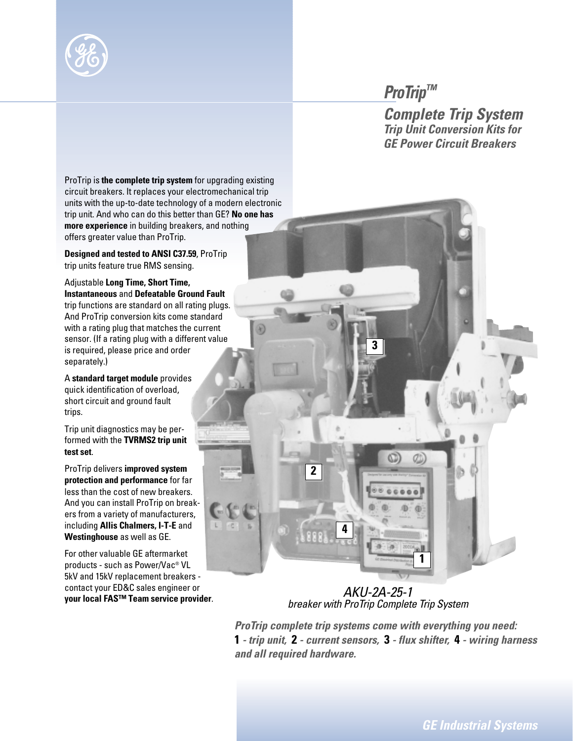

## *ProTrip™*

*Complete Trip System Trip Unit Conversion Kits for GE Power Circuit Breakers*

ProTrip is **the complete trip system** for upgrading existing circuit breakers. It replaces your electromechanical trip units with the up-to-date technology of a modern electronic trip unit. And who can do this better than GE? **No one has more experience** in building breakers, and nothing offers greater value than ProTrip.

**Designed and tested to ANSI C37.59**, ProTrip trip units feature true RMS sensing.

Adjustable **Long Time, Short Time, Instantaneous** and **Defeatable Ground Fault** trip functions are standard on all rating plugs. And ProTrip conversion kits come standard with a rating plug that matches the current sensor. (If a rating plug with a different value is required, please price and order separately.)

A **standard target module** provides quick identification of overload, short circuit and ground fault trips.

Trip unit diagnostics may be performed with the **TVRMS2 trip unit test set**.

ProTrip delivers **improved system protection and performance** for far less than the cost of new breakers. And you can install ProTrip on breakers from a variety of manufacturers, including **Allis Chalmers, I-T-E** and **Westinghouse** as well as GE.

For other valuable GE aftermarket products - such as Power/Vac® VL 5kV and 15kV replacement breakers contact your ED&C sales engineer or **your local FAS™ Team service provider**. *AKU-2A-25-1* 



**3**

**2**

Đ

**4**

**1**

*ProTrip complete trip systems come with everything you need:*  **1** *- trip unit,* **2** *- current sensors,* **3** *- flux shifter,* **4** *- wiring harness and all required hardware.*

*GE Industrial Systems*